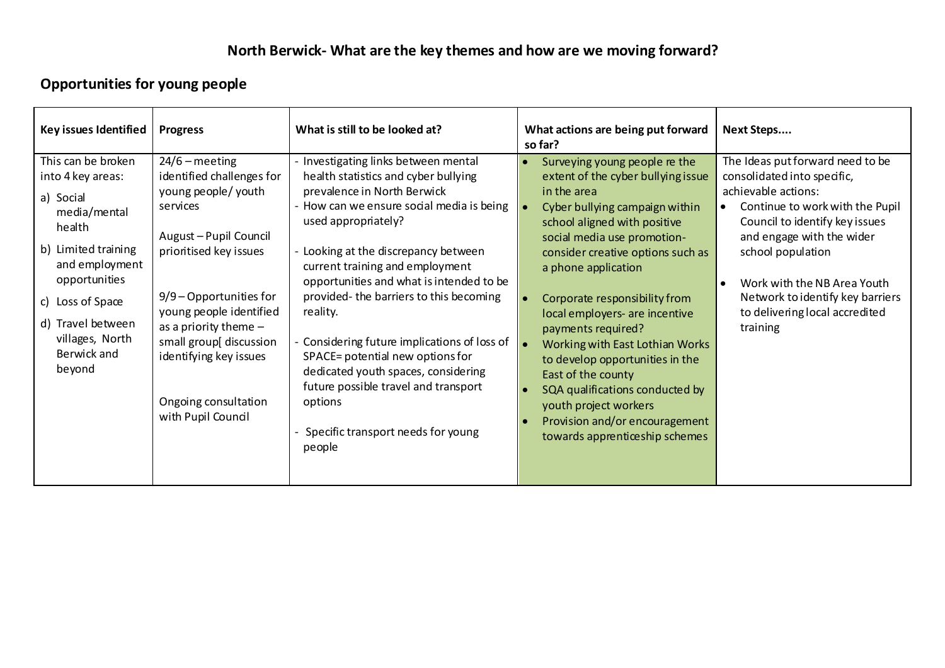# **Opportunities for young people**

| Key issues Identified                                                                                                                                                                                                         | <b>Progress</b>                                                                                                                                                                                                                                                                                                            | What is still to be looked at?                                                                                                                                                                                                                                                                                                                                                                                                                                                                                                                                                       | What actions are being put forward<br>so far?                                                                                                                                                                                                                                                                                                                                                                                                                                                                                                                        | Next Steps                                                                                                                                                                                                                                                                                                                                  |
|-------------------------------------------------------------------------------------------------------------------------------------------------------------------------------------------------------------------------------|----------------------------------------------------------------------------------------------------------------------------------------------------------------------------------------------------------------------------------------------------------------------------------------------------------------------------|--------------------------------------------------------------------------------------------------------------------------------------------------------------------------------------------------------------------------------------------------------------------------------------------------------------------------------------------------------------------------------------------------------------------------------------------------------------------------------------------------------------------------------------------------------------------------------------|----------------------------------------------------------------------------------------------------------------------------------------------------------------------------------------------------------------------------------------------------------------------------------------------------------------------------------------------------------------------------------------------------------------------------------------------------------------------------------------------------------------------------------------------------------------------|---------------------------------------------------------------------------------------------------------------------------------------------------------------------------------------------------------------------------------------------------------------------------------------------------------------------------------------------|
| This can be broken<br>into 4 key areas:<br>a) Social<br>media/mental<br>health<br>b) Limited training<br>and employment<br>opportunities<br>c) Loss of Space<br>d) Travel between<br>villages, North<br>Berwick and<br>beyond | $24/6$ – meeting<br>identified challenges for<br>young people/ youth<br>services<br>August - Pupil Council<br>prioritised key issues<br>$9/9$ – Opportunities for<br>young people identified<br>as a priority theme $-$<br>small group[ discussion<br>identifying key issues<br>Ongoing consultation<br>with Pupil Council | Investigating links between mental<br>health statistics and cyber bullying<br>prevalence in North Berwick<br>How can we ensure social media is being<br>used appropriately?<br>- Looking at the discrepancy between<br>current training and employment<br>opportunities and what is intended to be<br>provided-the barriers to this becoming<br>reality.<br>Considering future implications of loss of<br>SPACE= potential new options for<br>dedicated youth spaces, considering<br>future possible travel and transport<br>options<br>Specific transport needs for young<br>people | Surveying young people re the<br>extent of the cyber bullying issue<br>in the area<br>Cyber bullying campaign within<br>school aligned with positive<br>social media use promotion-<br>consider creative options such as<br>a phone application<br>Corporate responsibility from<br>local employers- are incentive<br>payments required?<br>Working with East Lothian Works<br>to develop opportunities in the<br>East of the county<br>SQA qualifications conducted by<br>youth project workers<br>Provision and/or encouragement<br>towards apprenticeship schemes | The Ideas put forward need to be<br>consolidated into specific,<br>achievable actions:<br>Continue to work with the Pupil<br>Council to identify key issues<br>and engage with the wider<br>school population<br>Work with the NB Area Youth<br>$\bullet$<br>Network to identify key barriers<br>to delivering local accredited<br>training |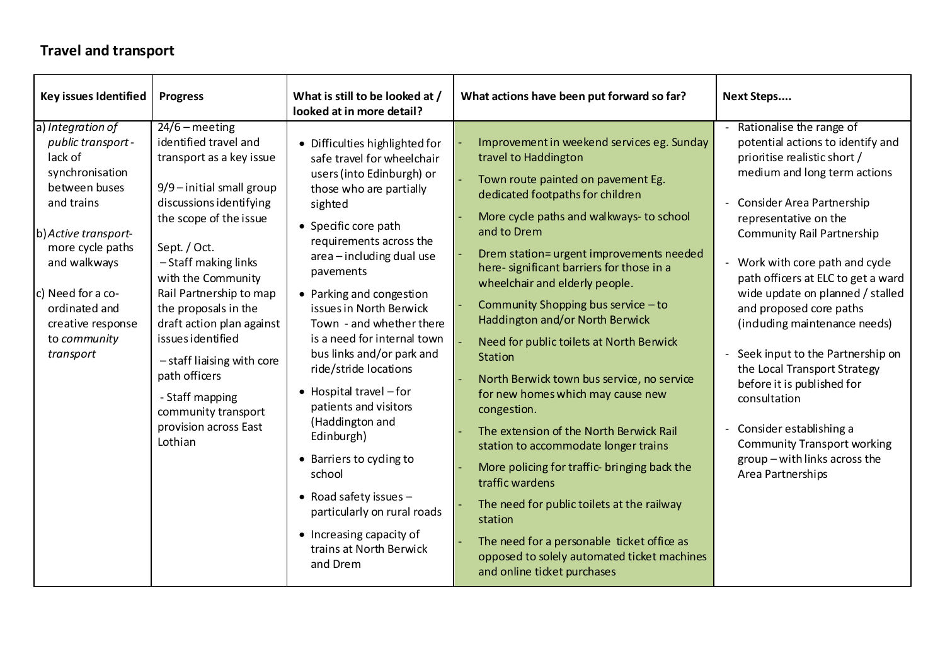#### **Travel and transport**

| Key issues Identified                                                                                                                                                                                                                                    | <b>Progress</b>                                                                                                                                                                                                                                                                                                                                                                                                                                     | What is still to be looked at /<br>looked at in more detail?                                                                                                                                                                                                                                                                                                                                                                                                                                                                                                                                                                                                           | What actions have been put forward so far?                                                                                                                                                                                                                                                                                                                                                                                                                                                                                                                                                                                                                                                                                                                                                                                                                                                                       | Next Steps                                                                                                                                                                                                                                                                                                                                                                                                                                                                                                                                                                                                                                                                    |
|----------------------------------------------------------------------------------------------------------------------------------------------------------------------------------------------------------------------------------------------------------|-----------------------------------------------------------------------------------------------------------------------------------------------------------------------------------------------------------------------------------------------------------------------------------------------------------------------------------------------------------------------------------------------------------------------------------------------------|------------------------------------------------------------------------------------------------------------------------------------------------------------------------------------------------------------------------------------------------------------------------------------------------------------------------------------------------------------------------------------------------------------------------------------------------------------------------------------------------------------------------------------------------------------------------------------------------------------------------------------------------------------------------|------------------------------------------------------------------------------------------------------------------------------------------------------------------------------------------------------------------------------------------------------------------------------------------------------------------------------------------------------------------------------------------------------------------------------------------------------------------------------------------------------------------------------------------------------------------------------------------------------------------------------------------------------------------------------------------------------------------------------------------------------------------------------------------------------------------------------------------------------------------------------------------------------------------|-------------------------------------------------------------------------------------------------------------------------------------------------------------------------------------------------------------------------------------------------------------------------------------------------------------------------------------------------------------------------------------------------------------------------------------------------------------------------------------------------------------------------------------------------------------------------------------------------------------------------------------------------------------------------------|
| a) Integration of<br>public transport -<br>lack of<br>synchronisation<br>between buses<br>and trains<br>b) Active transport-<br>more cycle paths<br>and walkways<br>c) Need for a co-<br>ordinated and<br>creative response<br>to community<br>transport | $24/6$ – meeting<br>identified travel and<br>transport as a key issue<br>9/9-initial small group<br>discussions identifying<br>the scope of the issue<br>Sept. / Oct.<br>-Staff making links<br>with the Community<br>Rail Partnership to map<br>the proposals in the<br>draft action plan against<br>issues identified<br>-staff liaising with core<br>path officers<br>- Staff mapping<br>community transport<br>provision across East<br>Lothian | • Difficulties highlighted for<br>safe travel for wheelchair<br>users (into Edinburgh) or<br>those who are partially<br>sighted<br>• Specific core path<br>requirements across the<br>area - including dual use<br>pavements<br>• Parking and congestion<br>issues in North Berwick<br>Town - and whether there<br>is a need for internal town<br>bus links and/or park and<br>ride/stride locations<br>$\bullet$ Hospital travel $-$ for<br>patients and visitors<br>(Haddington and<br>Edinburgh)<br>• Barriers to cyding to<br>school<br>• Road safety issues $-$<br>particularly on rural roads<br>• Increasing capacity of<br>trains at North Berwick<br>and Drem | Improvement in weekend services eg. Sunday<br>travel to Haddington<br>Town route painted on pavement Eg.<br>dedicated footpaths for children<br>More cycle paths and walkways- to school<br>and to Drem<br>Drem station= urgent improvements needed<br>here- significant barriers for those in a<br>wheelchair and elderly people.<br>Community Shopping bus service - to<br>Haddington and/or North Berwick<br>Need for public toilets at North Berwick<br>Station<br>North Berwick town bus service, no service<br>for new homes which may cause new<br>congestion.<br>The extension of the North Berwick Rail<br>station to accommodate longer trains<br>More policing for traffic- bringing back the<br>traffic wardens<br>The need for public toilets at the railway<br>station<br>The need for a personable ticket office as<br>opposed to solely automated ticket machines<br>and online ticket purchases | - Rationalise the range of<br>potential actions to identify and<br>prioritise realistic short /<br>medium and long term actions<br>- Consider Area Partnership<br>representative on the<br>Community Rail Partnership<br>Work with core path and cyde<br>$\overline{\phantom{0}}$<br>path officers at ELC to get a ward<br>wide update on planned / stalled<br>and proposed core paths<br>(induding maintenance needs)<br>Seek input to the Partnership on<br>$\equiv$<br>the Local Transport Strategy<br>before it is published for<br>consultation<br>- Consider establishing a<br><b>Community Transport working</b><br>group - with links across the<br>Area Partnerships |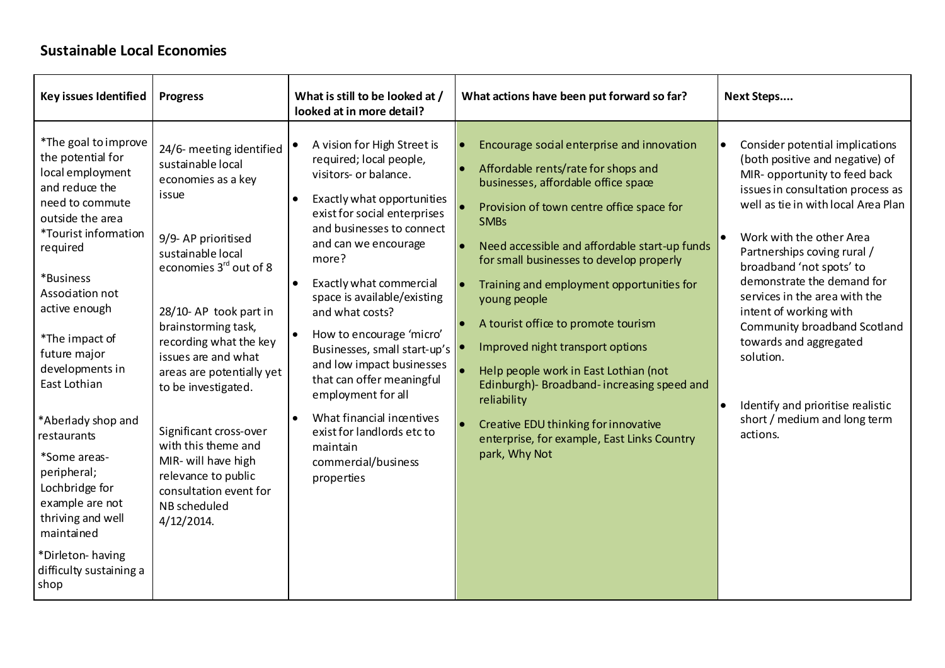#### **Sustainable Local Economies**

| Key issues Identified                                                                                                                                                                                                                                                                                                                                                                                                                                                                      | <b>Progress</b>                                                                                                                                                                                                                                                                                                                                                                                                                                               | What is still to be looked at /<br>looked at in more detail?                                                                                                                                                                                                                                                                                                                                                                                                                                                                                                                              | What actions have been put forward so far?                                                                                                                                                                                                                                                                                                                                                                                                                                                                                                                                                                                                                                                               | Next Steps                                                                                                                                                                                                                                                                                                                                                                                                                                                                                                              |
|--------------------------------------------------------------------------------------------------------------------------------------------------------------------------------------------------------------------------------------------------------------------------------------------------------------------------------------------------------------------------------------------------------------------------------------------------------------------------------------------|---------------------------------------------------------------------------------------------------------------------------------------------------------------------------------------------------------------------------------------------------------------------------------------------------------------------------------------------------------------------------------------------------------------------------------------------------------------|-------------------------------------------------------------------------------------------------------------------------------------------------------------------------------------------------------------------------------------------------------------------------------------------------------------------------------------------------------------------------------------------------------------------------------------------------------------------------------------------------------------------------------------------------------------------------------------------|----------------------------------------------------------------------------------------------------------------------------------------------------------------------------------------------------------------------------------------------------------------------------------------------------------------------------------------------------------------------------------------------------------------------------------------------------------------------------------------------------------------------------------------------------------------------------------------------------------------------------------------------------------------------------------------------------------|-------------------------------------------------------------------------------------------------------------------------------------------------------------------------------------------------------------------------------------------------------------------------------------------------------------------------------------------------------------------------------------------------------------------------------------------------------------------------------------------------------------------------|
| *The goal to improve<br>the potential for<br>local employment<br>and reduce the<br>need to commute<br>outside the area<br><i>*Tourist information</i><br>required<br>*Business<br>Association not<br>active enough<br>*The impact of<br>future major<br>developments in<br>East Lothian<br>*Aberlady shop and<br>restaurants<br>*Some areas-<br>peripheral;<br>Lochbridge for<br>example are not<br>thriving and well<br>maintained<br>*Dirleton-having<br>difficulty sustaining a<br>shop | 24/6- meeting identified<br>sustainable local<br>economies as a key<br>issue<br>9/9-AP prioritised<br>sustainable local<br>economies 3rd out of 8<br>28/10-AP took part in<br>brainstorming task,<br>recording what the key<br>issues are and what<br>areas are potentially yet<br>to be investigated.<br>Significant cross-over<br>with this theme and<br>MIR- will have high<br>relevance to public<br>consultation event for<br>NB scheduled<br>4/12/2014. | A vision for High Street is<br>required; local people,<br>visitors- or balance.<br>Exactly what opportunities<br>$\bullet$<br>exist for social enterprises<br>and businesses to connect<br>and can we encourage<br>more?<br>Exactly what commercial<br>$\bullet$<br>space is available/existing<br>and what costs?<br>How to encourage 'micro'<br>Businesses, small start-up's  <br>and low impact businesses<br>that can offer meaningful<br>employment for all<br>What financial incentives<br>$\bullet$<br>exist for landlords etc to<br>maintain<br>commercial/business<br>properties | Encourage social enterprise and innovation<br>Affordable rents/rate for shops and<br>$\bullet$<br>businesses, affordable office space<br>Provision of town centre office space for<br><b>SMBs</b><br>Need accessible and affordable start-up funds<br>$\bullet$<br>for small businesses to develop properly<br>Training and employment opportunities for<br>$\bullet$<br>young people<br>A tourist office to promote tourism<br>$\bullet$<br>Improved night transport options<br>Help people work in East Lothian (not<br>Edinburgh)- Broadband-increasing speed and<br>reliability<br>Creative EDU thinking for innovative<br>$\bullet$<br>enterprise, for example, East Links Country<br>park, Why Not | Consider potential implications<br>(both positive and negative) of<br>MIR- opportunity to feed back<br>issues in consultation process as<br>well as tie in with local Area Plan<br>Work with the other Area<br>Partnerships coving rural /<br>broadband 'not spots' to<br>demonstrate the demand for<br>services in the area with the<br>intent of working with<br>Community broadband Scotland<br>towards and aggregated<br>solution.<br>Identify and prioritise realistic<br>short / medium and long term<br>actions. |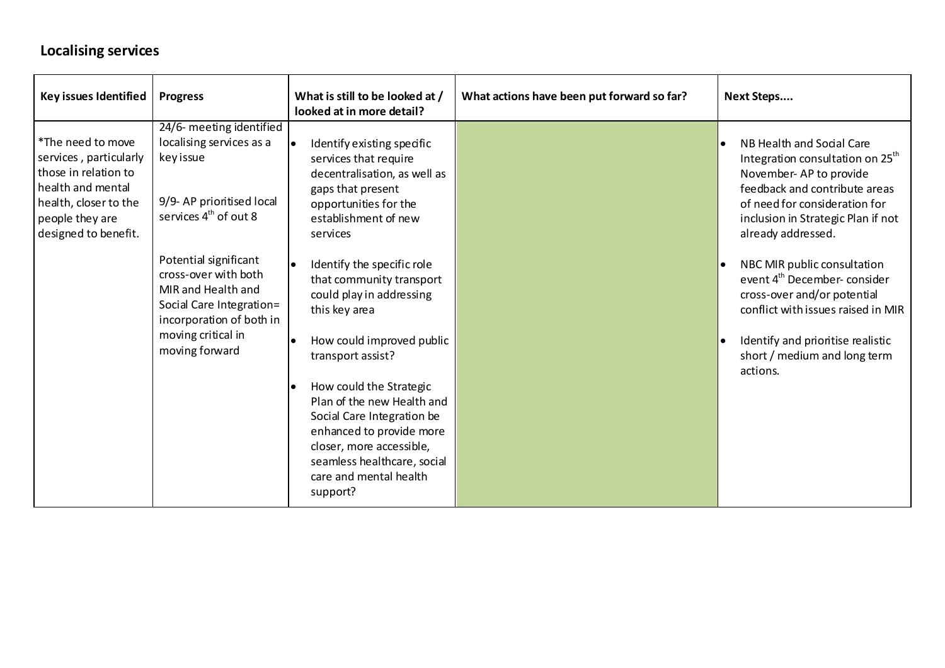## **Localising services**

| Key issues Identified                                                                                                                                        | <b>Progress</b>                                                                                                                                                                                                                                                                                            | What is still to be looked at /<br>looked at in more detail?                                                                                                                                                                                                                                                                                                                                                                                                                                                                                                                              | What actions have been put forward so far? | Next Steps                                                                                                                                                                                                                                                                                                                                                                                                                                                                           |
|--------------------------------------------------------------------------------------------------------------------------------------------------------------|------------------------------------------------------------------------------------------------------------------------------------------------------------------------------------------------------------------------------------------------------------------------------------------------------------|-------------------------------------------------------------------------------------------------------------------------------------------------------------------------------------------------------------------------------------------------------------------------------------------------------------------------------------------------------------------------------------------------------------------------------------------------------------------------------------------------------------------------------------------------------------------------------------------|--------------------------------------------|--------------------------------------------------------------------------------------------------------------------------------------------------------------------------------------------------------------------------------------------------------------------------------------------------------------------------------------------------------------------------------------------------------------------------------------------------------------------------------------|
| *The need to move<br>services, particularly<br>those in relation to<br>health and mental<br>health, closer to the<br>people they are<br>designed to benefit. | 24/6- meeting identified<br>localising services as a<br>key issue<br>9/9- AP prioritised local<br>services 4 <sup>th</sup> of out 8<br>Potential significant<br>cross-over with both<br>MIR and Health and<br>Social Care Integration=<br>incorporation of both in<br>moving critical in<br>moving forward | Identify existing specific<br>$\bullet$<br>services that require<br>decentralisation, as well as<br>gaps that present<br>opportunities for the<br>establishment of new<br>services<br>Identify the specific role<br>$\bullet$<br>that community transport<br>could play in addressing<br>this key area<br>How could improved public<br>transport assist?<br>How could the Strategic<br>$\bullet$<br>Plan of the new Health and<br>Social Care Integration be<br>enhanced to provide more<br>closer, more accessible,<br>seamless healthcare, social<br>care and mental health<br>support? |                                            | NB Health and Social Care<br>Integration consultation on 25 <sup>th</sup><br>November-AP to provide<br>feedback and contribute areas<br>of need for consideration for<br>inclusion in Strategic Plan if not<br>already addressed.<br>NBC MIR public consultation<br>I۰<br>event 4 <sup>th</sup> December-consider<br>cross-over and/or potential<br>conflict with issues raised in MIR<br>Identify and prioritise realistic<br>$\bullet$<br>short / medium and long term<br>actions. |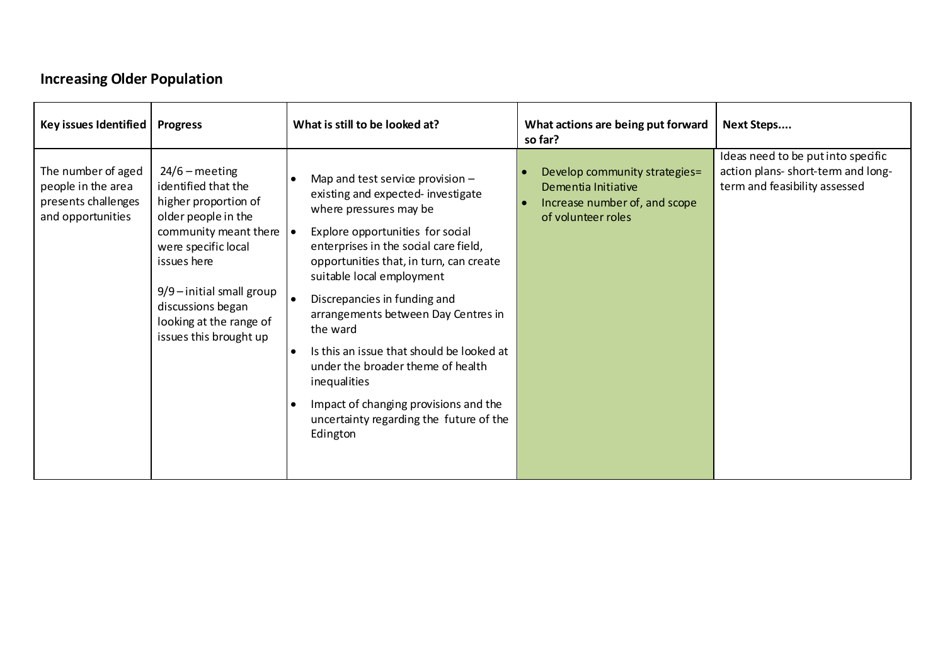# **Increasing Older Population**

| Key issues Identified                                                                | <b>Progress</b>                                                                                                                                                                                                                                                | What is still to be looked at?                                                                                                                                                                                                                                                                                                                                                                                                                                                                                                                           | What actions are being put forward<br>so far?                                                               | Next Steps                                                                                                |
|--------------------------------------------------------------------------------------|----------------------------------------------------------------------------------------------------------------------------------------------------------------------------------------------------------------------------------------------------------------|----------------------------------------------------------------------------------------------------------------------------------------------------------------------------------------------------------------------------------------------------------------------------------------------------------------------------------------------------------------------------------------------------------------------------------------------------------------------------------------------------------------------------------------------------------|-------------------------------------------------------------------------------------------------------------|-----------------------------------------------------------------------------------------------------------|
| The number of aged<br>people in the area<br>presents challenges<br>and opportunities | $24/6$ – meeting<br>identified that the<br>higher proportion of<br>older people in the<br>community meant there<br>were specific local<br>issues here<br>$9/9$ – initial small group<br>discussions began<br>looking at the range of<br>issues this brought up | Map and test service provision $-$<br>existing and expected-investigate<br>where pressures may be<br>Explore opportunities for social<br>$\bullet$<br>enterprises in the social care field,<br>opportunities that, in turn, can create<br>suitable local employment<br>Discrepancies in funding and<br>arrangements between Day Centres in<br>the ward<br>Is this an issue that should be looked at<br>under the broader theme of health<br>inequalities<br>Impact of changing provisions and the<br>uncertainty regarding the future of the<br>Edington | Develop community strategies=<br>Dementia Initiative<br>Increase number of, and scope<br>of volunteer roles | Ideas need to be put into specific<br>action plans- short-term and long-<br>term and feasibility assessed |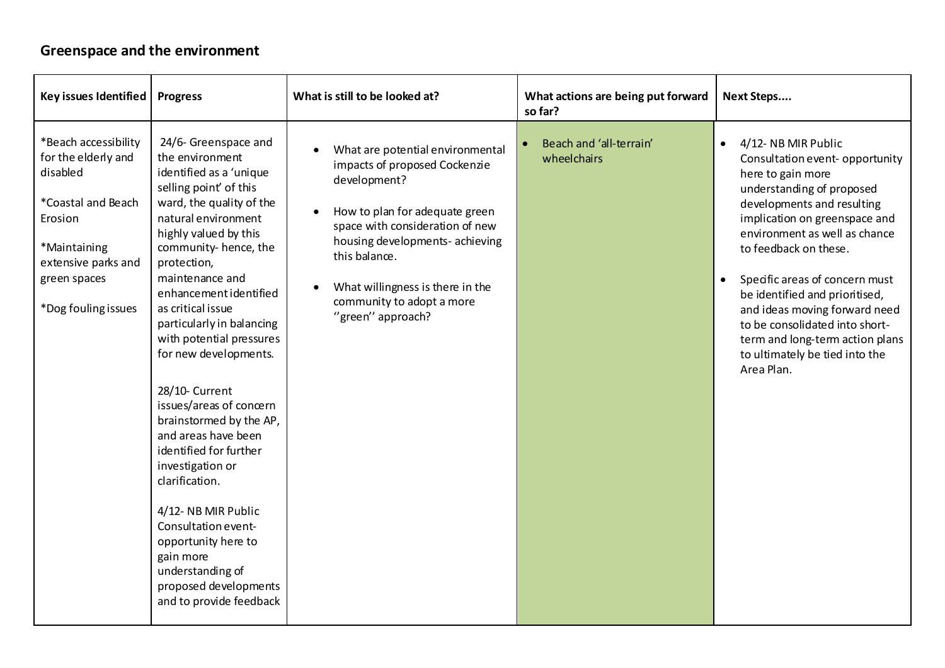#### **Greenspace and the environment**

| Key issues Identified                                                                                                                                                  | <b>Progress</b>                                                                                                                                                                                                                                                                                                                                                                                                                                                                                                                                                                                                                                                                              | What is still to be looked at?                                                                                                                                                                                                                                                                   | What actions are being put forward<br>so far? | <b>Next Steps</b>                                                                                                                                                                                                                                                                                                                                                                                                                                          |
|------------------------------------------------------------------------------------------------------------------------------------------------------------------------|----------------------------------------------------------------------------------------------------------------------------------------------------------------------------------------------------------------------------------------------------------------------------------------------------------------------------------------------------------------------------------------------------------------------------------------------------------------------------------------------------------------------------------------------------------------------------------------------------------------------------------------------------------------------------------------------|--------------------------------------------------------------------------------------------------------------------------------------------------------------------------------------------------------------------------------------------------------------------------------------------------|-----------------------------------------------|------------------------------------------------------------------------------------------------------------------------------------------------------------------------------------------------------------------------------------------------------------------------------------------------------------------------------------------------------------------------------------------------------------------------------------------------------------|
| *Beach accessibility<br>for the elderly and<br>disabled<br>*Coastal and Beach<br>Erosion<br>*Maintaining<br>extensive parks and<br>green spaces<br>*Dog fouling issues | 24/6- Greenspace and<br>the environment<br>identified as a 'unique<br>selling point' of this<br>ward, the quality of the<br>natural environment<br>highly valued by this<br>community- hence, the<br>protection,<br>maintenance and<br>enhancement identified<br>as critical issue<br>particularly in balancing<br>with potential pressures<br>for new developments.<br>28/10- Current<br>issues/areas of concern<br>brainstormed by the AP,<br>and areas have been<br>identified for further<br>investigation or<br>clarification.<br>4/12-NB MIR Public<br>Consultation event-<br>opportunity here to<br>gain more<br>understanding of<br>proposed developments<br>and to provide feedback | What are potential environmental<br>impacts of proposed Cockenzie<br>development?<br>How to plan for adequate green<br>space with consideration of new<br>housing developments- achieving<br>this balance.<br>What willingness is there in the<br>community to adopt a more<br>"green" approach? | Beach and 'all-terrain'<br>wheelchairs        | 4/12-NB MIR Public<br>Consultation event- opportunity<br>here to gain more<br>understanding of proposed<br>developments and resulting<br>implication on greenspace and<br>environment as well as chance<br>to feedback on these.<br>Specific areas of concern must<br>be identified and prioritised,<br>and ideas moving forward need<br>to be consolidated into short-<br>term and long-term action plans<br>to ultimately be tied into the<br>Area Plan. |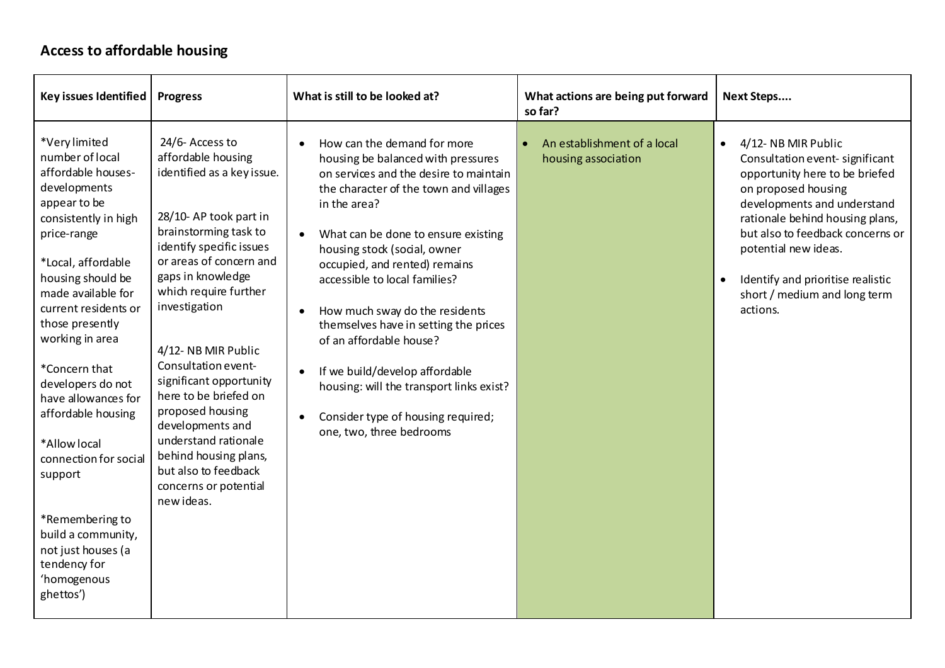## **Access to affordable housing**

| Key issues Identified                                                                                                                                                                                                                                                                                                                                                                                                                                                                                          | <b>Progress</b>                                                                                                                                                                                                                                                                                                                                                                                                                                                                                     | What is still to be looked at?                                                                                                                                                                                                                                                                                                                                                                                                                                                                                                                                                    | What actions are being put forward<br>so far?      | <b>Next Steps</b>                                                                                                                                                                                                                                                                                                                         |
|----------------------------------------------------------------------------------------------------------------------------------------------------------------------------------------------------------------------------------------------------------------------------------------------------------------------------------------------------------------------------------------------------------------------------------------------------------------------------------------------------------------|-----------------------------------------------------------------------------------------------------------------------------------------------------------------------------------------------------------------------------------------------------------------------------------------------------------------------------------------------------------------------------------------------------------------------------------------------------------------------------------------------------|-----------------------------------------------------------------------------------------------------------------------------------------------------------------------------------------------------------------------------------------------------------------------------------------------------------------------------------------------------------------------------------------------------------------------------------------------------------------------------------------------------------------------------------------------------------------------------------|----------------------------------------------------|-------------------------------------------------------------------------------------------------------------------------------------------------------------------------------------------------------------------------------------------------------------------------------------------------------------------------------------------|
| *Very limited<br>number of local<br>affordable houses-<br>developments<br>appear to be<br>consistently in high<br>price-range<br>*Local, affordable<br>housing should be<br>made available for<br>current residents or<br>those presently<br>working in area<br>*Concern that<br>developers do not<br>have allowances for<br>affordable housing<br>*Allow local<br>connection for social<br>support<br>*Remembering to<br>build a community,<br>not just houses (a<br>tendency for<br>'homogenous<br>ghettos') | 24/6-Access to<br>affordable housing<br>identified as a key issue.<br>28/10-AP took part in<br>brainstorming task to<br>identify specific issues<br>or areas of concern and<br>gaps in knowledge<br>which require further<br>investigation<br>4/12-NB MIR Public<br>Consultation event-<br>significant opportunity<br>here to be briefed on<br>proposed housing<br>developments and<br>understand rationale<br>behind housing plans,<br>but also to feedback<br>concerns or potential<br>new ideas. | How can the demand for more<br>housing be balanced with pressures<br>on services and the desire to maintain<br>the character of the town and villages<br>in the area?<br>What can be done to ensure existing<br>housing stock (social, owner<br>occupied, and rented) remains<br>accessible to local families?<br>How much sway do the residents<br>themselves have in setting the prices<br>of an affordable house?<br>If we build/develop affordable<br>$\bullet$<br>housing: will the transport links exist?<br>Consider type of housing required;<br>one, two, three bedrooms | An establishment of a local<br>housing association | 4/12-NB MIR Public<br>$\bullet$<br>Consultation event-significant<br>opportunity here to be briefed<br>on proposed housing<br>developments and understand<br>rationale behind housing plans,<br>but also to feedback concerns or<br>potential new ideas.<br>Identify and prioritise realistic<br>short / medium and long term<br>actions. |